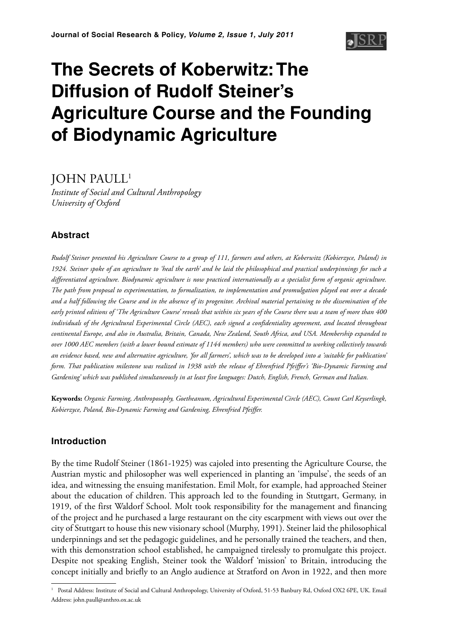# **The Secrets of Koberwitz: The Diffusion of Rudolf Steiner's Agriculture Course and the Founding of Biodynamic Agriculture**

JOHN PAULL1

*Institute of Social and Cultural Anthropology University of Oxford*

# **Abstract**

*Rudolf Steiner presented his Agriculture Course to a group of 111, farmers and others, at Koberwitz (Kobierzyce, Poland) in 1924. Steiner spoke of an agriculture to 'heal the earth' and he laid the philosophical and practical underpinnings for such a differentiated agriculture. Biodynamic agriculture is now practiced internationally as a specialist form of organic agriculture. The path from proposal to experimentation, to formalization, to implementation and promulgation played out over a decade and a half following the Course and in the absence of its progenitor. Archival material pertaining to the dissemination of the early printed editions of 'The Agriculture Course' reveals that within six years of the Course there was a team of more than 400 individuals of the Agricultural Experimental Circle (AEC), each signed a confidentiality agreement, and located throughout continental Europe, and also in Australia, Britain, Canada, New Zealand, South Africa, and USA. Membership expanded to over 1000 AEC members (with a lower bound estimate of 1144 members) who were committed to working collectively towards an evidence based, new and alternative agriculture, 'for all farmers', which was to be developed into a 'suitable for publication' form. That publication milestone was realized in 1938 with the release of Ehrenfried Pfeiffer's 'Bio-Dynamic Farming and Gardening' which was published simultaneously in at least five languages: Dutch, English, French, German and Italian.*

**Keywords:** *Organic Farming, Anthroposophy, Goetheanum, Agricultural Experimental Circle (AEC), Count Carl Keyserlingk, Kobierzyce, Poland, Bio-Dynamic Farming and Gardening, Ehrenfried Pfeiffer.*

# **Introduction**

By the time Rudolf Steiner (1861-1925) was cajoled into presenting the Agriculture Course, the Austrian mystic and philosopher was well experienced in planting an 'impulse', the seeds of an idea, and witnessing the ensuing manifestation. Emil Molt, for example, had approached Steiner about the education of children. This approach led to the founding in Stuttgart, Germany, in 1919, of the first Waldorf School. Molt took responsibility for the management and financing of the project and he purchased a large restaurant on the city escarpment with views out over the city of Stuttgart to house this new visionary school (Murphy, 1991). Steiner laid the philosophical underpinnings and set the pedagogic guidelines, and he personally trained the teachers, and then, with this demonstration school established, he campaigned tirelessly to promulgate this project. Despite not speaking English, Steiner took the Waldorf 'mission' to Britain, introducing the concept initially and briefly to an Anglo audience at Stratford on Avon in 1922, and then more

<sup>&</sup>lt;sup>1</sup> Postal Address: Institute of Social and Cultural Anthropology, University of Oxford, 51-53 Banbury Rd, Oxford OX2 6PE, UK. Email Address: john.paull@anthro.ox.ac.uk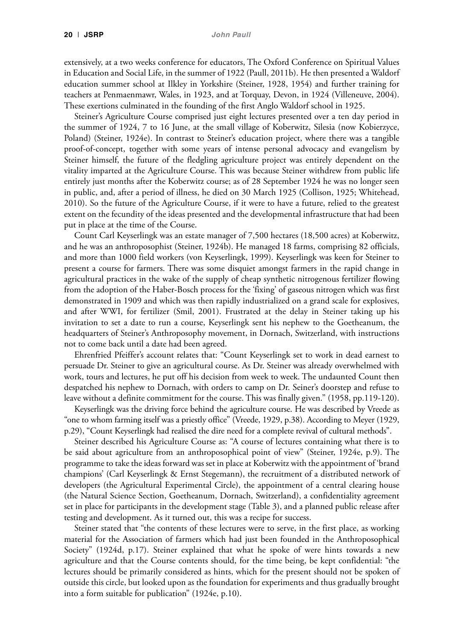extensively, at a two weeks conference for educators, The Oxford Conference on Spiritual Values in Education and Social Life, in the summer of 1922 (Paull, 2011b). He then presented a Waldorf education summer school at Ilkley in Yorkshire (Steiner, 1928, 1954) and further training for teachers at Penmaenmawr, Wales, in 1923, and at Torquay, Devon, in 1924 (Villeneuve, 2004). These exertions culminated in the founding of the first Anglo Waldorf school in 1925.

Steiner's Agriculture Course comprised just eight lectures presented over a ten day period in the summer of 1924, 7 to 16 June, at the small village of Koberwitz, Silesia (now Kobierzyce, Poland) (Steiner, 1924e). In contrast to Steiner's education project, where there was a tangible proof-of-concept, together with some years of intense personal advocacy and evangelism by Steiner himself, the future of the fledgling agriculture project was entirely dependent on the vitality imparted at the Agriculture Course. This was because Steiner withdrew from public life entirely just months after the Koberwitz course; as of 28 September 1924 he was no longer seen in public, and, after a period of illness, he died on 30 March 1925 (Collison, 1925; Whitehead, 2010). So the future of the Agriculture Course, if it were to have a future, relied to the greatest extent on the fecundity of the ideas presented and the developmental infrastructure that had been put in place at the time of the Course.

Count Carl Keyserlingk was an estate manager of 7,500 hectares (18,500 acres) at Koberwitz, and he was an anthroposophist (Steiner, 1924b). He managed 18 farms, comprising 82 officials, and more than 1000 field workers (von Keyserlingk, 1999). Keyserlingk was keen for Steiner to present a course for farmers. There was some disquiet amongst farmers in the rapid change in agricultural practices in the wake of the supply of cheap synthetic nitrogenous fertilizer flowing from the adoption of the Haber-Bosch process for the 'fixing' of gaseous nitrogen which was first demonstrated in 1909 and which was then rapidly industrialized on a grand scale for explosives, and after WWI, for fertilizer (Smil, 2001). Frustrated at the delay in Steiner taking up his invitation to set a date to run a course, Keyserlingk sent his nephew to the Goetheanum, the headquarters of Steiner's Anthroposophy movement, in Dornach, Switzerland, with instructions not to come back until a date had been agreed.

Ehrenfried Pfeiffer's account relates that: "Count Keyserlingk set to work in dead earnest to persuade Dr. Steiner to give an agricultural course. As Dr. Steiner was already overwhelmed with work, tours and lectures, he put off his decision from week to week. The undaunted Count then despatched his nephew to Dornach, with orders to camp on Dr. Seiner's doorstep and refuse to leave without a definite commitment for the course. This was finally given." (1958, pp.119-120).

Keyserlingk was the driving force behind the agriculture course. He was described by Vreede as "one to whom farming itself was a priestly office" (Vreede, 1929, p.38). According to Meyer (1929, p.29), "Count Keyserlingk had realised the dire need for a complete revival of cultural methods".

Steiner described his Agriculture Course as: "A course of lectures containing what there is to be said about agriculture from an anthroposophical point of view" (Steiner, 1924e, p.9). The programme to take the ideas forward was set in place at Koberwitz with the appointment of 'brand champions' (Carl Keyserlingk & Ernst Stegemann), the recruitment of a distributed network of developers (the Agricultural Experimental Circle), the appointment of a central clearing house (the Natural Science Section, Goetheanum, Dornach, Switzerland), a confidentiality agreement set in place for participants in the development stage (Table 3), and a planned public release after testing and development. As it turned out, this was a recipe for success.

Steiner stated that "the contents of these lectures were to serve, in the first place, as working material for the Association of farmers which had just been founded in the Anthroposophical Society" (1924d, p.17). Steiner explained that what he spoke of were hints towards a new agriculture and that the Course contents should, for the time being, be kept confidential: "the lectures should be primarily considered as hints, which for the present should not be spoken of outside this circle, but looked upon as the foundation for experiments and thus gradually brought into a form suitable for publication" (1924e, p.10).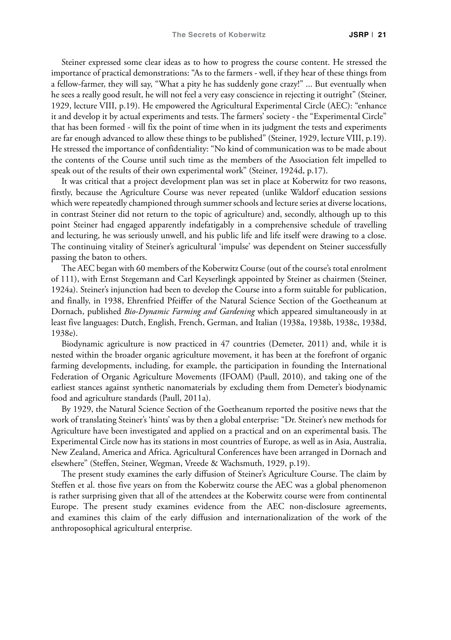Steiner expressed some clear ideas as to how to progress the course content. He stressed the importance of practical demonstrations: "As to the farmers - well, if they hear of these things from a fellow-farmer, they will say, "What a pity he has suddenly gone crazy!" ... But eventually when he sees a really good result, he will not feel a very easy conscience in rejecting it outright" (Steiner, 1929, lecture VIII, p.19). He empowered the Agricultural Experimental Circle (AEC): "enhance it and develop it by actual experiments and tests. The farmers' society - the "Experimental Circle" that has been formed - will fix the point of time when in its judgment the tests and experiments are far enough advanced to allow these things to be published" (Steiner, 1929, lecture VIII, p.19). He stressed the importance of confidentiality: "No kind of communication was to be made about the contents of the Course until such time as the members of the Association felt impelled to speak out of the results of their own experimental work" (Steiner, 1924d, p.17).

It was critical that a project development plan was set in place at Koberwitz for two reasons, firstly, because the Agriculture Course was never repeated (unlike Waldorf education sessions which were repeatedly championed through summer schools and lecture series at diverse locations, in contrast Steiner did not return to the topic of agriculture) and, secondly, although up to this point Steiner had engaged apparently indefatigably in a comprehensive schedule of travelling and lecturing, he was seriously unwell, and his public life and life itself were drawing to a close. The continuing vitality of Steiner's agricultural 'impulse' was dependent on Steiner successfully passing the baton to others.

The AEC began with 60 members of the Koberwitz Course (out of the course's total enrolment of 111), with Ernst Stegemann and Carl Keyserlingk appointed by Steiner as chairmen (Steiner, 1924a). Steiner's injunction had been to develop the Course into a form suitable for publication, and finally, in 1938, Ehrenfried Pfeiffer of the Natural Science Section of the Goetheanum at Dornach, published *Bio-Dynamic Farming and Gardening* which appeared simultaneously in at least five languages: Dutch, English, French, German, and Italian (1938a, 1938b, 1938c, 1938d, 1938e).

Biodynamic agriculture is now practiced in 47 countries (Demeter, 2011) and, while it is nested within the broader organic agriculture movement, it has been at the forefront of organic farming developments, including, for example, the participation in founding the International Federation of Organic Agriculture Movements (IFOAM) (Paull, 2010), and taking one of the earliest stances against synthetic nanomaterials by excluding them from Demeter's biodynamic food and agriculture standards (Paull, 2011a).

By 1929, the Natural Science Section of the Goetheanum reported the positive news that the work of translating Steiner's 'hints' was by then a global enterprise: "Dr. Steiner's new methods for Agriculture have been investigated and applied on a practical and on an experimental basis. The Experimental Circle now has its stations in most countries of Europe, as well as in Asia, Australia, New Zealand, America and Africa. Agricultural Conferences have been arranged in Dornach and elsewhere" (Steffen, Steiner, Wegman, Vreede & Wachsmuth, 1929, p.19).

The present study examines the early diffusion of Steiner's Agriculture Course. The claim by Steffen et al. those five years on from the Koberwitz course the AEC was a global phenomenon is rather surprising given that all of the attendees at the Koberwitz course were from continental Europe. The present study examines evidence from the AEC non-disclosure agreements, and examines this claim of the early diffusion and internationalization of the work of the anthroposophical agricultural enterprise.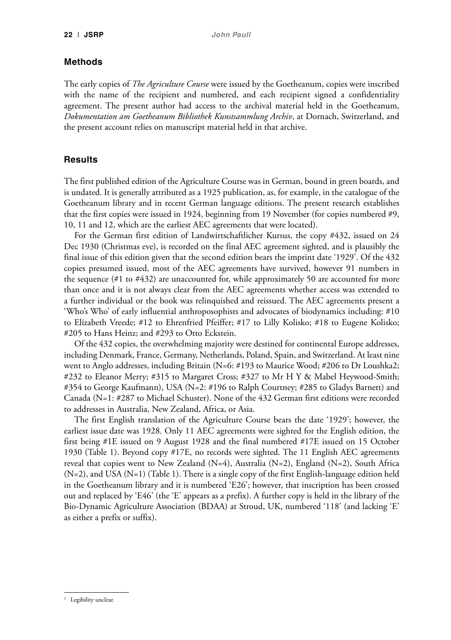#### **Methods**

The early copies of *The Agriculture Course* were issued by the Goetheanum, copies were inscribed with the name of the recipient and numbered, and each recipient signed a confidentiality agreement. The present author had access to the archival material held in the Goetheanum, *Dokumentation am Goetheanum Bibliothek Kunstsammlung Archiv*, at Dornach, Switzerland, and the present account relies on manuscript material held in that archive.

# **Results**

The first published edition of the Agriculture Course was in German, bound in green boards, and is undated. It is generally attributed as a 1925 publication, as, for example, in the catalogue of the Goetheanum library and in recent German language editions. The present research establishes that the first copies were issued in 1924, beginning from 19 November (for copies numbered #9, 10, 11 and 12, which are the earliest AEC agreements that were located).

For the German first edition of Landwirtschaftlicher Kursus, the copy #432, issued on 24 Dec 1930 (Christmas eve), is recorded on the final AEC agreement sighted, and is plausibly the final issue of this edition given that the second edition bears the imprint date '1929'. Of the 432 copies presumed issued, most of the AEC agreements have survived, however 91 numbers in the sequence (#1 to #432) are unaccounted for, while approximately 50 are accounted for more than once and it is not always clear from the AEC agreements whether access was extended to a further individual or the book was relinquished and reissued. The AEC agreements present a 'Who's Who' of early influential anthroposophists and advocates of biodynamics including: #10 to Elizabeth Vreede; #12 to Ehrenfried Pfeiffer; #17 to Lilly Kolisko; #18 to Eugene Kolisko; #205 to Hans Heinz; and #293 to Otto Eckstein.

Of the 432 copies, the overwhelming majority were destined for continental Europe addresses, including Denmark, France, Germany, Netherlands, Poland, Spain, and Switzerland. At least nine went to Anglo addresses, including Britain (N=6: #193 to Maurice Wood; #206 to Dr Loushka2; #232 to Eleanor Merry; #315 to Margaret Cross; #327 to Mr H Y & Mabel Heywood-Smith; #354 to George Kaufmann), USA (N=2: #196 to Ralph Courtney; #285 to Gladys Barnett) and Canada (N=1: #287 to Michael Schuster). None of the 432 German first editions were recorded to addresses in Australia, New Zealand, Africa, or Asia.

The first English translation of the Agriculture Course bears the date '1929'; however, the earliest issue date was 1928. Only 11 AEC agreements were sighted for the English edition, the first being #1E issued on 9 August 1928 and the final numbered #17E issued on 15 October 1930 (Table 1). Beyond copy #17E, no records were sighted. The 11 English AEC agreements reveal that copies went to New Zealand (N=4), Australia (N=2), England (N=2), South Africa (N=2), and USA (N=1) (Table 1). There is a single copy of the first English-language edition held in the Goetheanum library and it is numbered 'E26'; however, that inscription has been crossed out and replaced by 'E46' (the 'E' appears as a prefix). A further copy is held in the library of the Bio-Dynamic Agriculture Association (BDAA) at Stroud, UK, numbered '118' (and lacking 'E' as either a prefix or suffix).

<sup>2</sup> Legibility unclear.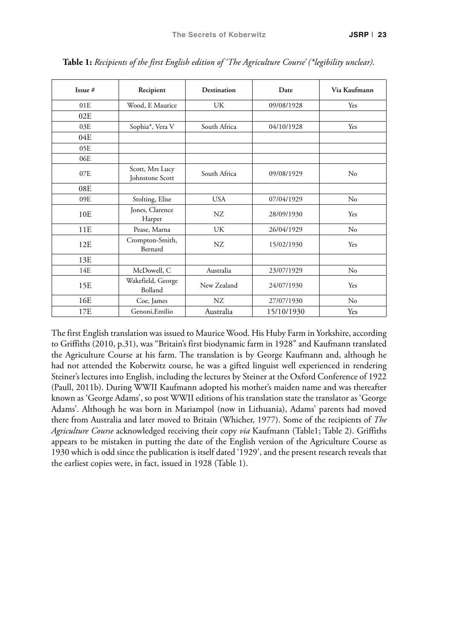| Issue #         | Recipient                          | Destination  | Date       | Via Kaufmann |
|-----------------|------------------------------------|--------------|------------|--------------|
| 01E             | Wood, E Maurice                    | UK           | 09/08/1928 | Yes          |
| 02E             |                                    |              |            |              |
| 03E             | Sophia*, Vera V                    | South Africa | 04/10/1928 | Yes          |
| 04E             |                                    |              |            |              |
| 05E             |                                    |              |            |              |
| 06E             |                                    |              |            |              |
| 07E             | Scott, Mrs Lucy<br>Johnstone Scott | South Africa | 09/08/1929 | No           |
| 08E             |                                    |              |            |              |
| 09E             | Stolting, Elise                    | <b>USA</b>   | 07/04/1929 | No           |
| 10 <sub>E</sub> | Jones, Clarence<br>Harper          | NZ           | 28/09/1930 | Yes          |
| 11E             | Pease, Marna                       | UK           | 26/04/1929 | $\rm No$     |
| 12E             | Crompton-Smith,<br>Bernard         | NZ           | 15/02/1930 | Yes          |
| 13E             |                                    |              |            |              |
| 14E             | McDowell, C                        | Australia    | 23/07/1929 | No           |
| 15E             | Wakefield, George<br>Bolland       | New Zealand  | 24/07/1930 | Yes          |
| 16E             | Coe, James                         | NZ           | 27/07/1930 | No           |
| 17E             | Genoni, Emilio                     | Australia    | 15/10/1930 | Yes          |

**Table 1:** *Recipients of the first English edition of 'The Agriculture Course' (\*legibility unclear).*

The first English translation was issued to Maurice Wood. His Huby Farm in Yorkshire, according to Griffiths (2010, p.31), was "Britain's first biodynamic farm in 1928" and Kaufmann translated the Agriculture Course at his farm. The translation is by George Kaufmann and, although he had not attended the Koberwitz course, he was a gifted linguist well experienced in rendering Steiner's lectures into English, including the lectures by Steiner at the Oxford Conference of 1922 (Paull, 2011b). During WWII Kaufmann adopted his mother's maiden name and was thereafter known as 'George Adams', so post WWII editions of his translation state the translator as 'George Adams'. Although he was born in Mariampol (now in Lithuania), Adams' parents had moved there from Australia and later moved to Britain (Whicher, 1977). Some of the recipients of *The Agriculture Course* acknowledged receiving their copy *via* Kaufmann (Table1; Table 2). Griffiths appears to be mistaken in putting the date of the English version of the Agriculture Course as 1930 which is odd since the publication is itself dated '1929', and the present research reveals that the earliest copies were, in fact, issued in 1928 (Table 1).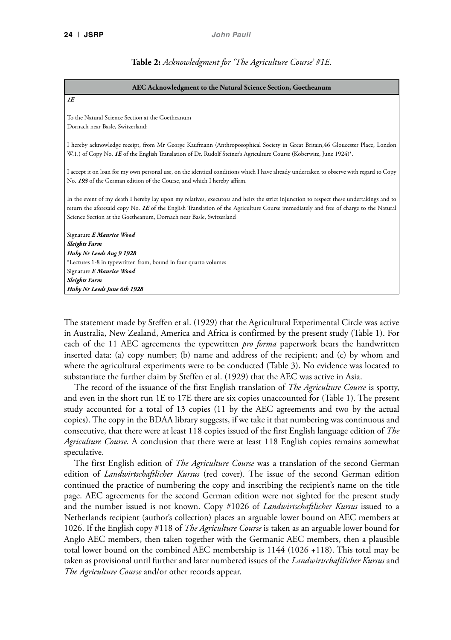#### **Table 2:** *Acknowledgment for 'The Agriculture Course' #1E.*

| AEC Acknowledgment to the Natural Science Section, Goetheanum                                                                                                                                                                                                                                                                                        |  |  |  |  |
|------------------------------------------------------------------------------------------------------------------------------------------------------------------------------------------------------------------------------------------------------------------------------------------------------------------------------------------------------|--|--|--|--|
| 1E                                                                                                                                                                                                                                                                                                                                                   |  |  |  |  |
| To the Natural Science Section at the Goetheanum<br>Dornach near Basle, Switzerland:                                                                                                                                                                                                                                                                 |  |  |  |  |
| I hereby acknowledge receipt, from Mr George Kaufmann (Anthroposophical Society in Great Britain,46 Gloucester Place, London<br>W.1.) of Copy No. 1E of the English Translation of Dr. Rudolf Steiner's Agriculture Course (Koberwitz, June 1924)*.                                                                                                  |  |  |  |  |
| I accept it on loan for my own personal use, on the identical conditions which I have already undertaken to observe with regard to Copy<br>No. 193 of the German edition of the Course, and which I hereby affirm.                                                                                                                                   |  |  |  |  |
| In the event of my death I hereby lay upon my relatives, executors and heirs the strict injunction to respect these undertakings and to<br>return the aforesaid copy No. IE of the English Translation of the Agriculture Course immediately and free of charge to the Natural<br>Science Section at the Goetheanum, Dornach near Basle, Switzerland |  |  |  |  |
| Signature E Maurice Wood                                                                                                                                                                                                                                                                                                                             |  |  |  |  |
| <b>Sleights Farm</b>                                                                                                                                                                                                                                                                                                                                 |  |  |  |  |
| Huby Nr Leeds Aug 9 1928                                                                                                                                                                                                                                                                                                                             |  |  |  |  |
| *Lectures 1-8 in typewritten from, bound in four quarto volumes                                                                                                                                                                                                                                                                                      |  |  |  |  |
| Signature E Maurice Wood                                                                                                                                                                                                                                                                                                                             |  |  |  |  |
| <b>Sleights Farm</b>                                                                                                                                                                                                                                                                                                                                 |  |  |  |  |
| Huby Nr Leeds June 6th 1928                                                                                                                                                                                                                                                                                                                          |  |  |  |  |

The statement made by Steffen et al. (1929) that the Agricultural Experimental Circle was active in Australia, New Zealand, America and Africa is confirmed by the present study (Table 1). For each of the 11 AEC agreements the typewritten *pro forma* paperwork bears the handwritten inserted data: (a) copy number; (b) name and address of the recipient; and (c) by whom and where the agricultural experiments were to be conducted (Table 3). No evidence was located to substantiate the further claim by Steffen et al. (1929) that the AEC was active in Asia.

The record of the issuance of the first English translation of *The Agriculture Course* is spotty, and even in the short run 1E to 17E there are six copies unaccounted for (Table 1). The present study accounted for a total of 13 copies (11 by the AEC agreements and two by the actual copies). The copy in the BDAA library suggests, if we take it that numbering was continuous and consecutive, that there were at least 118 copies issued of the first English language edition of *The Agriculture Course*. A conclusion that there were at least 118 English copies remains somewhat speculative.

The first English edition of *The Agriculture Course* was a translation of the second German edition of *Landwirtschaftlicher Kursus* (red cover). The issue of the second German edition continued the practice of numbering the copy and inscribing the recipient's name on the title page. AEC agreements for the second German edition were not sighted for the present study and the number issued is not known. Copy #1026 of *Landwirtschaftlicher Kursus* issued to a Netherlands recipient (author's collection) places an arguable lower bound on AEC members at 1026. If the English copy #118 of *The Agriculture Course* is taken as an arguable lower bound for Anglo AEC members, then taken together with the Germanic AEC members, then a plausible total lower bound on the combined AEC membership is 1144 (1026 +118). This total may be taken as provisional until further and later numbered issues of the *Landwirtschaftlicher Kursus* and *The Agriculture Course* and/or other records appear.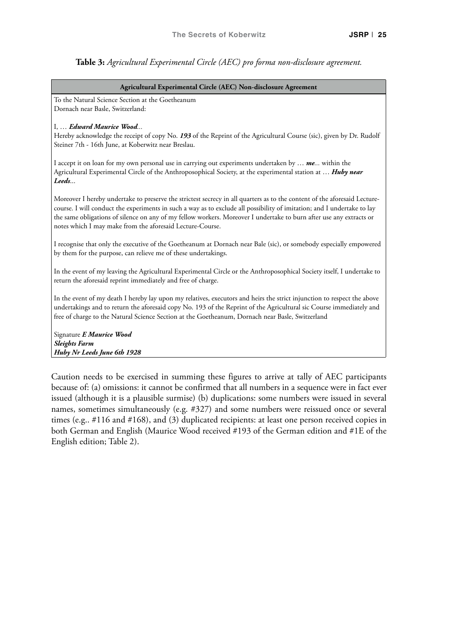#### **Table 3:** *Agricultural Experimental Circle (AEC) pro forma non-disclosure agreement.*

#### **Agricultural Experimental Circle (AEC) Non-disclosure Agreement**

To the Natural Science Section at the Goetheanum Dornach near Basle, Switzerland:

#### I, … *Edward Maurice Wood...*

Hereby acknowledge the receipt of copy No. *193* of the Reprint of the Agricultural Course (sic), given by Dr. Rudolf Steiner 7th - 16th June, at Koberwitz near Breslau.

I accept it on loan for my own personal use in carrying out experiments undertaken by … *me...* within the Agricultural Experimental Circle of the Anthroposophical Society, at the experimental station at … *Huby near Leeds*...

Moreover I hereby undertake to preserve the strictest secrecy in all quarters as to the content of the aforesaid Lecturecourse. I will conduct the experiments in such a way as to exclude all possibility of imitation; and I undertake to lay the same obligations of silence on any of my fellow workers. Moreover I undertake to burn after use any extracts or notes which I may make from the aforesaid Lecture-Course.

I recognise that only the executive of the Goetheanum at Dornach near Bale (sic), or somebody especially empowered by them for the purpose, can relieve me of these undertakings.

In the event of my leaving the Agricultural Experimental Circle or the Anthroposophical Society itself, I undertake to return the aforesaid reprint immediately and free of charge.

In the event of my death I hereby lay upon my relatives, executors and heirs the strict injunction to respect the above undertakings and to return the aforesaid copy No. 193 of the Reprint of the Agricultural sic Course immediately and free of charge to the Natural Science Section at the Goetheanum, Dornach near Basle, Switzerland

Signature *E Maurice Wood Sleights Farm Huby Nr Leeds June 6th 1928*

Caution needs to be exercised in summing these figures to arrive at tally of AEC participants because of: (a) omissions: it cannot be confirmed that all numbers in a sequence were in fact ever issued (although it is a plausible surmise) (b) duplications: some numbers were issued in several names, sometimes simultaneously (e.g. #327) and some numbers were reissued once or several times (e.g.. #116 and #168), and (3) duplicated recipients: at least one person received copies in both German and English (Maurice Wood received #193 of the German edition and #1E of the English edition; Table 2).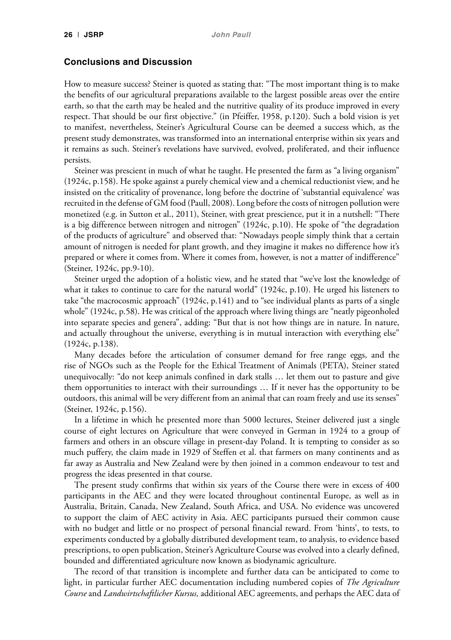## **Conclusions and Discussion**

How to measure success? Steiner is quoted as stating that: "The most important thing is to make the benefits of our agricultural preparations available to the largest possible areas over the entire earth, so that the earth may be healed and the nutritive quality of its produce improved in every respect. That should be our first objective." (in Pfeiffer, 1958, p.120). Such a bold vision is yet to manifest, nevertheless, Steiner's Agricultural Course can be deemed a success which, as the present study demonstrates, was transformed into an international enterprise within six years and it remains as such. Steiner's revelations have survived, evolved, proliferated, and their influence persists.

Steiner was prescient in much of what he taught. He presented the farm as "a living organism" (1924c, p.158). He spoke against a purely chemical view and a chemical reductionist view, and he insisted on the criticality of provenance, long before the doctrine of 'substantial equivalence' was recruited in the defense of GM food (Paull, 2008). Long before the costs of nitrogen pollution were monetized (e.g. in Sutton et al., 2011), Steiner, with great prescience, put it in a nutshell: "There is a big difference between nitrogen and nitrogen" (1924c, p.10). He spoke of "the degradation of the products of agriculture" and observed that: "Nowadays people simply think that a certain amount of nitrogen is needed for plant growth, and they imagine it makes no difference how it's prepared or where it comes from. Where it comes from, however, is not a matter of indifference" (Steiner, 1924c, pp.9-10).

Steiner urged the adoption of a holistic view, and he stated that "we've lost the knowledge of what it takes to continue to care for the natural world" (1924c, p.10). He urged his listeners to take "the macrocosmic approach" (1924c, p.141) and to "see individual plants as parts of a single whole" (1924c, p.58). He was critical of the approach where living things are "neatly pigeonholed into separate species and genera", adding: "But that is not how things are in nature. In nature, and actually throughout the universe, everything is in mutual interaction with everything else" (1924c, p.138).

Many decades before the articulation of consumer demand for free range eggs, and the rise of NGOs such as the People for the Ethical Treatment of Animals (PETA), Steiner stated unequivocally: "do not keep animals confined in dark stalls … let them out to pasture and give them opportunities to interact with their surroundings … If it never has the opportunity to be outdoors, this animal will be very different from an animal that can roam freely and use its senses" (Steiner, 1924c, p.156).

In a lifetime in which he presented more than 5000 lectures, Steiner delivered just a single course of eight lectures on Agriculture that were conveyed in German in 1924 to a group of farmers and others in an obscure village in present-day Poland. It is tempting to consider as so much puffery, the claim made in 1929 of Steffen et al. that farmers on many continents and as far away as Australia and New Zealand were by then joined in a common endeavour to test and progress the ideas presented in that course.

The present study confirms that within six years of the Course there were in excess of 400 participants in the AEC and they were located throughout continental Europe, as well as in Australia, Britain, Canada, New Zealand, South Africa, and USA. No evidence was uncovered to support the claim of AEC activity in Asia. AEC participants pursued their common cause with no budget and little or no prospect of personal financial reward. From 'hints', to tests, to experiments conducted by a globally distributed development team, to analysis, to evidence based prescriptions, to open publication, Steiner's Agriculture Course was evolved into a clearly defined, bounded and differentiated agriculture now known as biodynamic agriculture.

The record of that transition is incomplete and further data can be anticipated to come to light, in particular further AEC documentation including numbered copies of *The Agriculture Course* and *Landwirtschaftlicher Kursus,* additional AEC agreements, and perhaps the AEC data of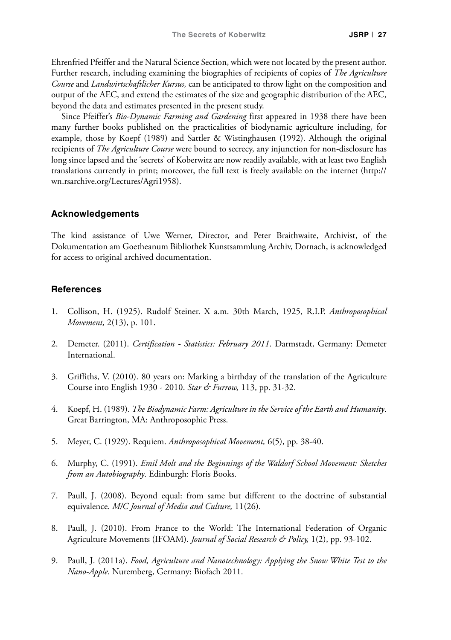Ehrenfried Pfeiffer and the Natural Science Section, which were not located by the present author. Further research, including examining the biographies of recipients of copies of *The Agriculture Course* and *Landwirtschaftlicher Kursus,* can be anticipated to throw light on the composition and output of the AEC, and extend the estimates of the size and geographic distribution of the AEC, beyond the data and estimates presented in the present study.

Since Pfeiffer's *Bio-Dynamic Farming and Gardening* first appeared in 1938 there have been many further books published on the practicalities of biodynamic agriculture including, for example, those by Koepf (1989) and Sattler & Wistinghausen (1992). Although the original recipients of *The Agriculture Course* were bound to secrecy, any injunction for non-disclosure has long since lapsed and the 'secrets' of Koberwitz are now readily available, with at least two English translations currently in print; moreover, the full text is freely available on the internet (http:// wn.rsarchive.org/Lectures/Agri1958).

#### **Acknowledgements**

The kind assistance of Uwe Werner, Director, and Peter Braithwaite, Archivist, of the Dokumentation am Goetheanum Bibliothek Kunstsammlung Archiv, Dornach, is acknowledged for access to original archived documentation.

#### **References**

- 1. Collison, H. (1925). Rudolf Steiner. X a.m. 30th March, 1925, R.I.P. *Anthroposophical Movement,* 2(13), p. 101.
- 2. Demeter. (2011). *Certification Statistics: February 2011*. Darmstadt, Germany: Demeter International.
- 3. Griffiths, V. (2010). 80 years on: Marking a birthday of the translation of the Agriculture Course into English 1930 - 2010. *Star & Furrow,* 113, pp. 31-32.
- 4. Koepf, H. (1989). *The Biodynamic Farm: Agriculture in the Service of the Earth and Humanity*. Great Barrington, MA: Anthroposophic Press.
- 5. Meyer, C. (1929). Requiem. *Anthroposophical Movement,* 6(5), pp. 38-40.
- 6. Murphy, C. (1991). *Emil Molt and the Beginnings of the Waldorf School Movement: Sketches from an Autobiography*. Edinburgh: Floris Books.
- 7. Paull, J. (2008). Beyond equal: from same but different to the doctrine of substantial equivalence. *M/C Journal of Media and Culture,* 11(26).
- 8. Paull, J. (2010). From France to the World: The International Federation of Organic Agriculture Movements (IFOAM). *Journal of Social Research & Policy,* 1(2), pp. 93-102.
- 9. Paull, J. (2011a). *Food, Agriculture and Nanotechnology: Applying the Snow White Test to the Nano-Apple*. Nuremberg, Germany: Biofach 2011.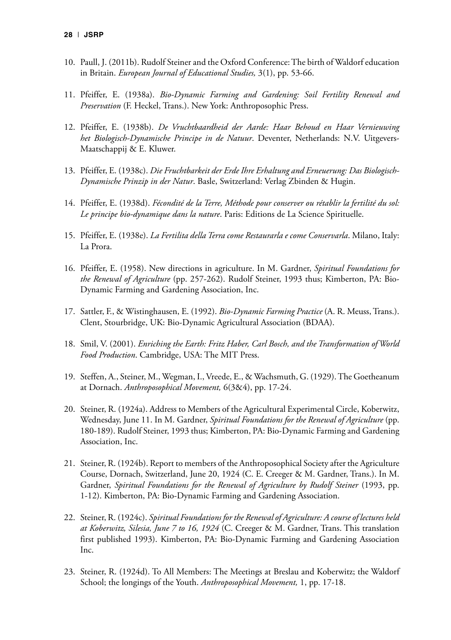- 10. Paull, J. (2011b). Rudolf Steiner and the Oxford Conference: The birth of Waldorf education in Britain. *European Journal of Educational Studies,* 3(1), pp. 53-66.
- 11. Pfeiffer, E. (1938a). *Bio-Dynamic Farming and Gardening: Soil Fertility Renewal and Preservation* (F. Heckel, Trans.). New York: Anthroposophic Press.
- 12. Pfeiffer, E. (1938b). *De Vruchtbaardheid der Aarde: Haar Behoud en Haar Vernieuwing het Biologisch-Dynamische Principe in de Natuur*. Deventer, Netherlands: N.V. Uitgevers-Maatschappij & E. Kluwer.
- 13. Pfeiffer, E. (1938c). *Die Fruchtbarkeit der Erde Ihre Erhaltung and Erneuerung: Das Biologisch-Dynamische Prinzip in der Natur*. Basle, Switzerland: Verlag Zbinden & Hugin.
- 14. Pfeiffer, E. (1938d). *Fécondité de la Terre, Méthode pour conserver ou rétablir la fertilité du sol: Le principe bio-dynamique dans la nature*. Paris: Editions de La Science Spirituelle.
- 15. Pfeiffer, E. (1938e). *La Fertilita della Terra come Restaurarla e come Conservarla*. Milano, Italy: La Prora.
- 16. Pfeiffer, E. (1958). New directions in agriculture. In M. Gardner, *Spiritual Foundations for the Renewal of Agriculture* (pp. 257-262). Rudolf Steiner, 1993 thus; Kimberton, PA: Bio-Dynamic Farming and Gardening Association, Inc.
- 17. Sattler, F., & Wistinghausen, E. (1992). *Bio-Dynamic Farming Practice* (A. R. Meuss, Trans.). Clent, Stourbridge, UK: Bio-Dynamic Agricultural Association (BDAA).
- 18. Smil, V. (2001). *Enriching the Earth: Fritz Haber, Carl Bosch, and the Transformation of World Food Production*. Cambridge, USA: The MIT Press.
- 19. Steffen, A., Steiner, M., Wegman, I., Vreede, E., & Wachsmuth, G. (1929). The Goetheanum at Dornach. *Anthroposophical Movement,* 6(3&4), pp. 17-24.
- 20. Steiner, R. (1924a). Address to Members of the Agricultural Experimental Circle, Koberwitz, Wednesday, June 11. In M. Gardner, *Spiritual Foundations for the Renewal of Agriculture* (pp. 180-189). Rudolf Steiner, 1993 thus; Kimberton, PA: Bio-Dynamic Farming and Gardening Association, Inc.
- 21. Steiner, R. (1924b). Report to members of the Anthroposophical Society after the Agriculture Course, Dornach, Switzerland, June 20, 1924 (C. E. Creeger & M. Gardner, Trans.). In M. Gardner, *Spiritual Foundations for the Renewal of Agriculture by Rudolf Steiner* (1993, pp. 1-12). Kimberton, PA: Bio-Dynamic Farming and Gardening Association.
- 22. Steiner, R. (1924c). *Spiritual Foundations for the Renewal of Agriculture: A course of lectures held at Koberwitz, Silesia, June 7 to 16, 1924* (C. Creeger & M. Gardner, Trans. This translation first published 1993). Kimberton, PA: Bio-Dynamic Farming and Gardening Association Inc.
- 23. Steiner, R. (1924d). To All Members: The Meetings at Breslau and Koberwitz; the Waldorf School; the longings of the Youth. *Anthroposophical Movement,* 1, pp. 17-18.